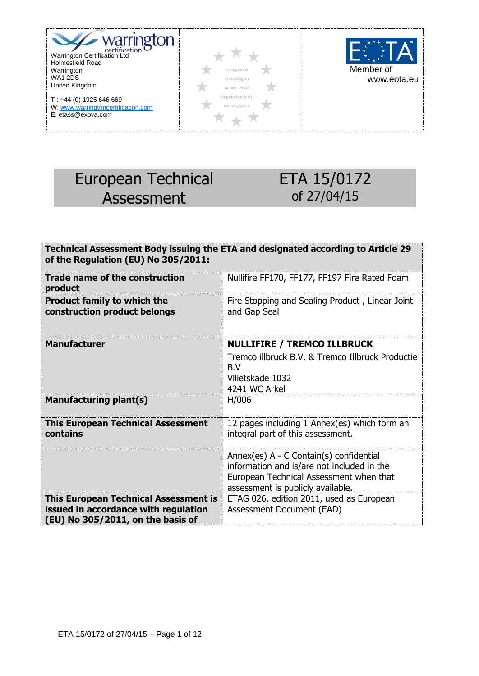

T : +44 (0) 1925 646 669 W: www.warringtoncertification.com E: etass@exova.com





# European Technical Assessment

# ETA 15/0172 of 27/04/15

| Technical Assessment Body issuing the ETA and designated according to Article 29<br>of the Regulation (EU) No 305/2011: |                                                                                                                                                                       |  |
|-------------------------------------------------------------------------------------------------------------------------|-----------------------------------------------------------------------------------------------------------------------------------------------------------------------|--|
| Trade name of the construction<br>product                                                                               | Nullifire FF170, FF177, FF197 Fire Rated Foam                                                                                                                         |  |
| <b>Product family to which the</b><br>construction product belongs                                                      | Fire Stopping and Sealing Product, Linear Joint<br>and Gap Seal                                                                                                       |  |
| <b>Manufacturer</b>                                                                                                     | <b>NULLIFIRE / TREMCO ILLBRUCK</b>                                                                                                                                    |  |
|                                                                                                                         | Tremco illbruck B.V. & Tremco Illbruck Productie<br>B.V<br>Vilietskade 1032<br>4241 WC Arkel                                                                          |  |
| <b>Manufacturing plant(s)</b>                                                                                           | H/006                                                                                                                                                                 |  |
| <b>This European Technical Assessment</b><br>contains                                                                   | 12 pages including 1 Annex(es) which form an<br>integral part of this assessment.                                                                                     |  |
|                                                                                                                         | Annex(es) A - C Contain(s) confidential<br>information and is/are not included in the<br>European Technical Assessment when that<br>assessment is publicly available. |  |
| <b>This European Technical Assessment is</b>                                                                            | ETAG 026, edition 2011, used as European                                                                                                                              |  |
| issued in accordance with regulation<br>(EU) No 305/2011, on the basis of                                               | Assessment Document (EAD)                                                                                                                                             |  |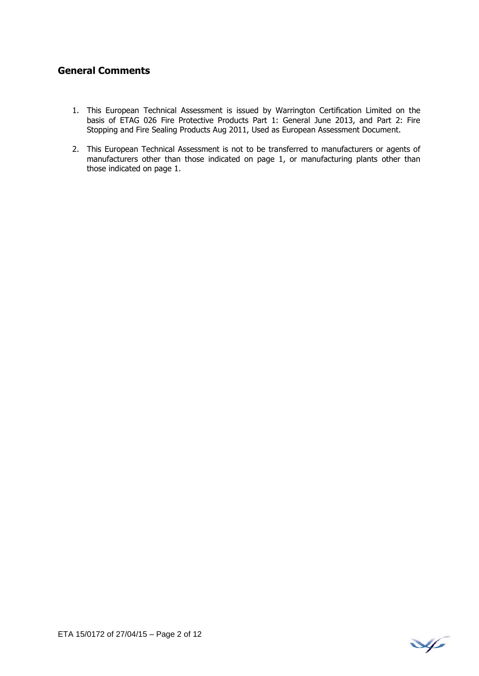#### **General Comments**

- 1. This European Technical Assessment is issued by Warrington Certification Limited on the basis of ETAG 026 Fire Protective Products Part 1: General June 2013, and Part 2: Fire Stopping and Fire Sealing Products Aug 2011, Used as European Assessment Document.
- 2. This European Technical Assessment is not to be transferred to manufacturers or agents of manufacturers other than those indicated on page 1, or manufacturing plants other than those indicated on page 1.

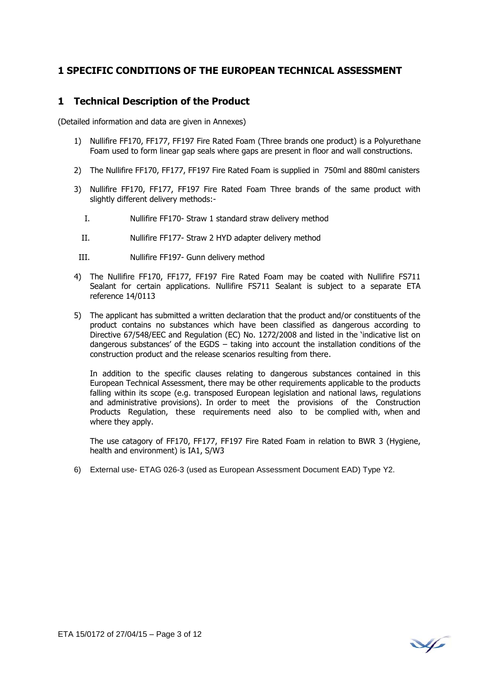#### **1 SPECIFIC CONDITIONS OF THE EUROPEAN TECHNICAL ASSESSMENT**

#### **1 Technical Description of the Product**

(Detailed information and data are given in Annexes)

- 1) Nullifire FF170, FF177, FF197 Fire Rated Foam (Three brands one product) is a Polyurethane Foam used to form linear gap seals where gaps are present in floor and wall constructions.
- 2) The Nullifire FF170, FF177, FF197 Fire Rated Foam is supplied in 750ml and 880ml canisters
- 3) Nullifire FF170, FF177, FF197 Fire Rated Foam Three brands of the same product with slightly different delivery methods:-
	- I. Nullifire FF170- Straw 1 standard straw delivery method
	- II. Nullifire FF177- Straw 2 HYD adapter delivery method
- III. Nullifire FF197- Gunn delivery method
- 4) The Nullifire FF170, FF177, FF197 Fire Rated Foam may be coated with Nullifire FS711 Sealant for certain applications. Nullifire FS711 Sealant is subject to a separate ETA reference 14/0113
- 5) The applicant has submitted a written declaration that the product and/or constituents of the product contains no substances which have been classified as dangerous according to Directive 67/548/EEC and Regulation (EC) No. 1272/2008 and listed in the 'indicative list on dangerous substances' of the EGDS – taking into account the installation conditions of the construction product and the release scenarios resulting from there.

In addition to the specific clauses relating to dangerous substances contained in this European Technical Assessment, there may be other requirements applicable to the products falling within its scope (e.g. transposed European legislation and national laws, regulations and administrative provisions). In order to meet the provisions of the Construction Products Regulation, these requirements need also to be complied with, when and where they apply.

 The use catagory of FF170, FF177, FF197 Fire Rated Foam in relation to BWR 3 (Hygiene, health and environment) is IA1, S/W3

6) External use- ETAG 026-3 (used as European Assessment Document EAD) Type Y2.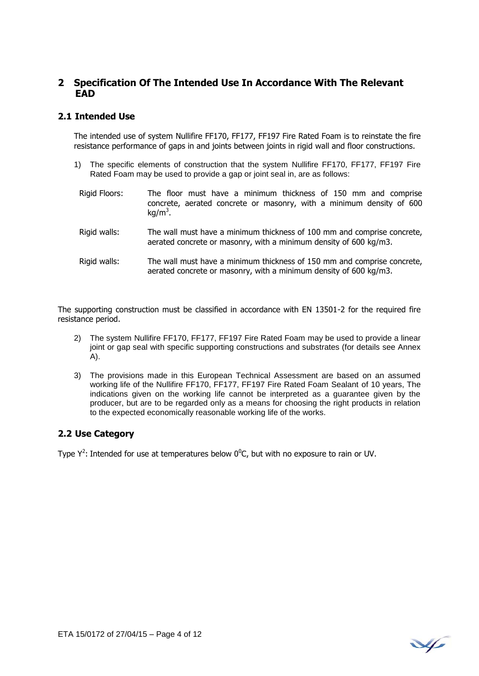#### **2 Specification Of The Intended Use In Accordance With The Relevant EAD**

#### **2.1 Intended Use**

The intended use of system Nullifire FF170, FF177, FF197 Fire Rated Foam is to reinstate the fire resistance performance of gaps in and joints between joints in rigid wall and floor constructions.

- 1) The specific elements of construction that the system Nullifire FF170, FF177, FF197 Fire Rated Foam may be used to provide a gap or joint seal in, are as follows:
	- Rigid Floors: The floor must have a minimum thickness of 150 mm and comprise concrete, aerated concrete or masonry, with a minimum density of 600  $kg/m<sup>3</sup>$ .
	- Rigid walls: The wall must have a minimum thickness of 100 mm and comprise concrete, aerated concrete or masonry, with a minimum density of 600 kg/m3.
	- Rigid walls: The wall must have a minimum thickness of 150 mm and comprise concrete, aerated concrete or masonry, with a minimum density of 600 kg/m3.

The supporting construction must be classified in accordance with EN 13501-2 for the required fire resistance period.

- 2) The system Nullifire FF170, FF177, FF197 Fire Rated Foam may be used to provide a linear joint or gap seal with specific supporting constructions and substrates (for details see Annex A).
- 3) The provisions made in this European Technical Assessment are based on an assumed working life of the Nullifire FF170, FF177, FF197 Fire Rated Foam Sealant of 10 years, The indications given on the working life cannot be interpreted as a guarantee given by the producer, but are to be regarded only as a means for choosing the right products in relation to the expected economically reasonable working life of the works.

#### **2.2 Use Category**

Type  $Y^2$ : Intended for use at temperatures below  $0^0C$ , but with no exposure to rain or UV.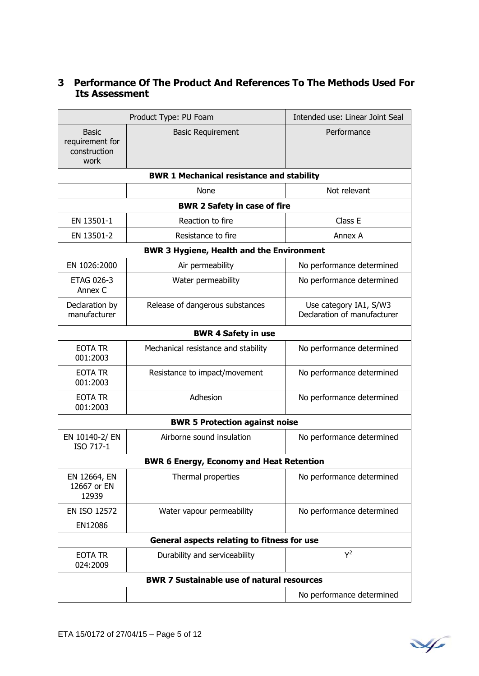### **3 Performance Of The Product And References To The Methods Used For Its Assessment**

| Product Type: PU Foam                                   |                                                   | Intended use: Linear Joint Seal                       |
|---------------------------------------------------------|---------------------------------------------------|-------------------------------------------------------|
| <b>Basic</b><br>requirement for<br>construction<br>work | <b>Basic Requirement</b>                          | Performance                                           |
|                                                         | <b>BWR 1 Mechanical resistance and stability</b>  |                                                       |
|                                                         | None                                              | Not relevant                                          |
|                                                         | <b>BWR 2 Safety in case of fire</b>               |                                                       |
| EN 13501-1                                              | Reaction to fire                                  | Class E                                               |
| EN 13501-2                                              | Resistance to fire                                | Annex A                                               |
|                                                         | <b>BWR 3 Hygiene, Health and the Environment</b>  |                                                       |
| EN 1026:2000                                            | Air permeability                                  | No performance determined                             |
| <b>ETAG 026-3</b><br>Annex C                            | Water permeability                                | No performance determined                             |
| Declaration by<br>manufacturer                          | Release of dangerous substances                   | Use category IA1, S/W3<br>Declaration of manufacturer |
|                                                         | <b>BWR 4 Safety in use</b>                        |                                                       |
| <b>EOTA TR</b><br>001:2003                              | Mechanical resistance and stability               | No performance determined                             |
| <b>EOTA TR</b><br>001:2003                              | Resistance to impact/movement                     | No performance determined                             |
| <b>EOTA TR</b><br>001:2003                              | Adhesion                                          | No performance determined                             |
|                                                         | <b>BWR 5 Protection against noise</b>             |                                                       |
| EN 10140-2/ EN<br>ISO 717-1                             | Airborne sound insulation                         | No performance determined                             |
|                                                         | <b>BWR 6 Energy, Economy and Heat Retention</b>   |                                                       |
| EN 12664, EN<br>12667 or EN<br>12939                    | Thermal properties                                | No performance determined                             |
| <b>EN ISO 12572</b>                                     | Water vapour permeability                         | No performance determined                             |
| EN12086                                                 |                                                   |                                                       |
|                                                         | General aspects relating to fitness for use       |                                                       |
| EOTA TR<br>024:2009                                     | Durability and serviceability                     | $Y^2$                                                 |
|                                                         | <b>BWR 7 Sustainable use of natural resources</b> |                                                       |
|                                                         |                                                   | No performance determined                             |

¥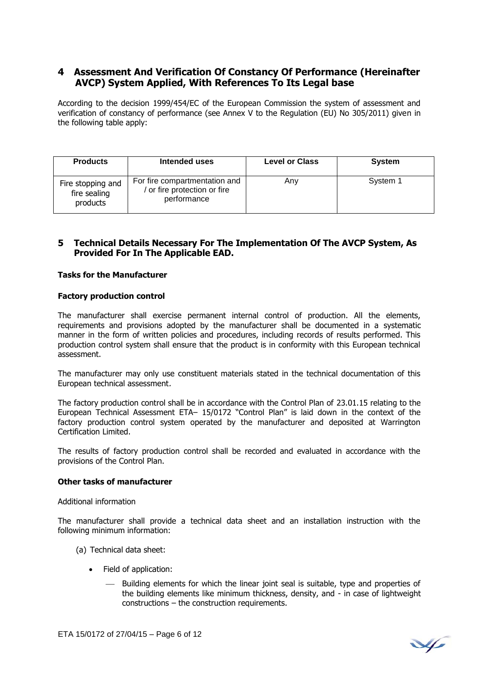#### **4 Assessment And Verification Of Constancy Of Performance (Hereinafter AVCP) System Applied, With References To Its Legal base**

According to the decision 1999/454/EC of the European Commission the system of assessment and verification of constancy of performance (see Annex V to the Regulation (EU) No 305/2011) given in the following table apply:

| <b>Products</b>                               | Intended uses                                                              | <b>Level or Class</b> | <b>System</b> |
|-----------------------------------------------|----------------------------------------------------------------------------|-----------------------|---------------|
| Fire stopping and<br>fire sealing<br>products | For fire compartmentation and<br>or fire protection or fire<br>performance | Any                   | System 1      |

#### **5 Technical Details Necessary For The Implementation Of The AVCP System, As Provided For In The Applicable EAD.**

#### **Tasks for the Manufacturer**

#### **Factory production control**

The manufacturer shall exercise permanent internal control of production. All the elements, requirements and provisions adopted by the manufacturer shall be documented in a systematic manner in the form of written policies and procedures, including records of results performed. This production control system shall ensure that the product is in conformity with this European technical assessment.

The manufacturer may only use constituent materials stated in the technical documentation of this European technical assessment.

The factory production control shall be in accordance with the Control Plan of 23.01.15 relating to the European Technical Assessment ETA– 15/0172 "Control Plan" is laid down in the context of the factory production control system operated by the manufacturer and deposited at Warrington Certification Limited.

The results of factory production control shall be recorded and evaluated in accordance with the provisions of the Control Plan.

#### **Other tasks of manufacturer**

Additional information

The manufacturer shall provide a technical data sheet and an installation instruction with the following minimum information:

- (a) Technical data sheet:
	- Field of application:
		- Building elements for which the linear joint seal is suitable, type and properties of the building elements like minimum thickness, density, and - in case of lightweight constructions – the construction requirements.

¥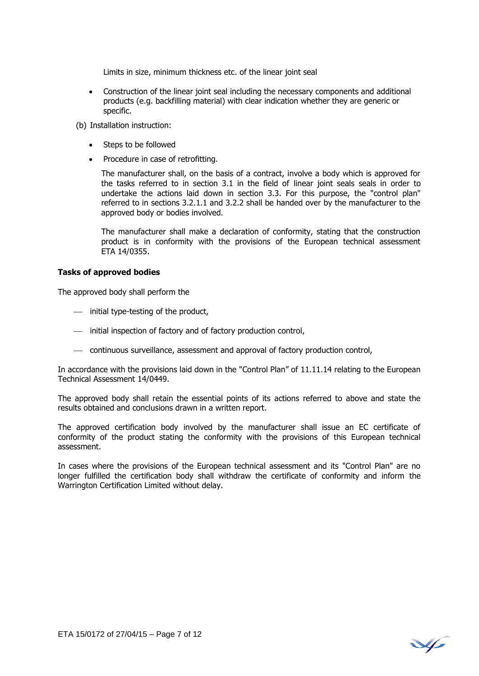Limits in size, minimum thickness etc. of the linear joint seal

- Construction of the linear joint seal including the necessary components and additional products (e.g. backfilling material) with clear indication whether they are generic or specific.
- (b) Installation instruction:
	- Steps to be followed
	- Procedure in case of retrofitting.

The manufacturer shall, on the basis of a contract, involve a body which is approved for the tasks referred to in section 3.1 in the field of linear joint seals seals in order to undertake the actions laid down in section 3.3. For this purpose, the "control plan" referred to in sections 3.2.1.1 and 3.2.2 shall be handed over by the manufacturer to the approved body or bodies involved.

The manufacturer shall make a declaration of conformity, stating that the construction product is in conformity with the provisions of the European technical assessment ETA 14/0355.

#### **Tasks of approved bodies**

The approved body shall perform the

- $-$  initial type-testing of the product,
- $-$  initial inspection of factory and of factory production control,
- continuous surveillance, assessment and approval of factory production control,

In accordance with the provisions laid down in the "Control Plan" of 11.11.14 relating to the European Technical Assessment 14/0449.

The approved body shall retain the essential points of its actions referred to above and state the results obtained and conclusions drawn in a written report.

The approved certification body involved by the manufacturer shall issue an EC certificate of conformity of the product stating the conformity with the provisions of this European technical assessment.

In cases where the provisions of the European technical assessment and its "Control Plan" are no longer fulfilled the certification body shall withdraw the certificate of conformity and inform the Warrington Certification Limited without delay.

V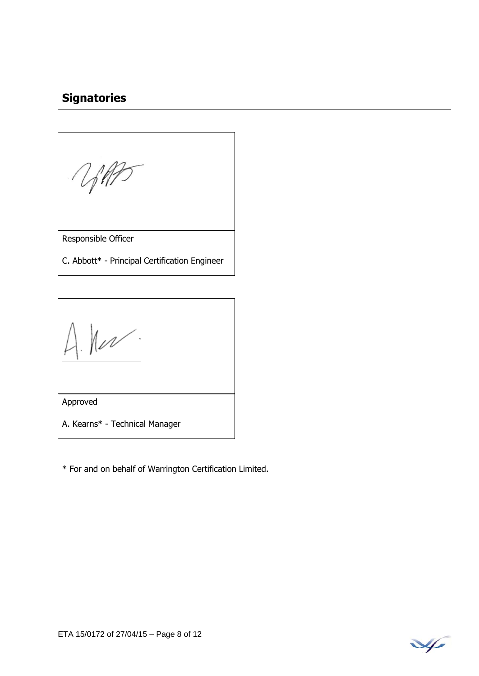# **Signatories**

Responsible Officer

C. Abbott\* - Principal Certification Engineer

 $A$   $hu^{\prime}$ .

Approved

A. Kearns\* - Technical Manager

\* For and on behalf of Warrington Certification Limited.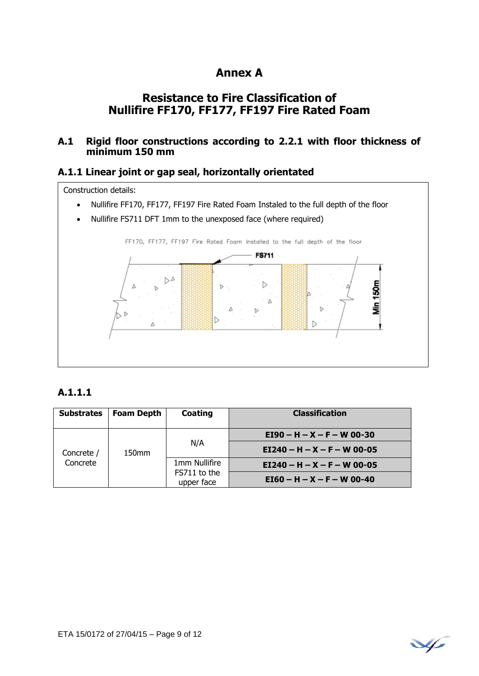# **Annex A**

# **Resistance to Fire Classification of Nullifire FF170, FF177, FF197 Fire Rated Foam**

### **A.1 Rigid floor constructions according to 2.2.1 with floor thickness of minimum 150 mm**

#### **A.1.1 Linear joint or gap seal, horizontally orientated**

Construction details:

- Nullifire FF170, FF177, FF197 Fire Rated Foam Instaled to the full depth of the floor
- Nullifire FS711 DFT 1mm to the unexposed face (where required)



### **A.1.1.1**

| <b>Substrates</b>                           | <b>Foam Depth</b> | Coating                    | <b>Classification</b>         |
|---------------------------------------------|-------------------|----------------------------|-------------------------------|
| Concrete /<br>150 <sub>mm</sub><br>Concrete |                   |                            | $E$ I90 – H – X – F – W 00-30 |
|                                             |                   | N/A                        | $EI240 - H - X - F - W 00-05$ |
|                                             |                   | 1mm Nullifire              | $E1240 - H - X - F - W 00-05$ |
|                                             |                   | FS711 to the<br>upper face | $E[60 - H - X - F - W]$ 00-40 |

¥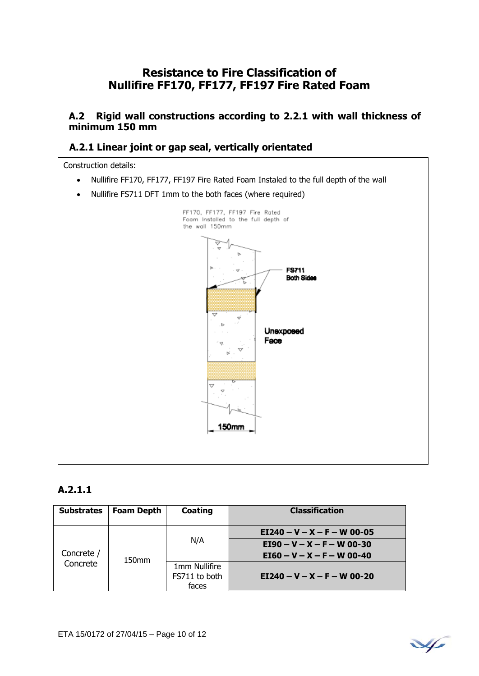# **Resistance to Fire Classification of Nullifire FF170, FF177, FF197 Fire Rated Foam**

#### **A.2 Rigid wall constructions according to 2.2.1 with wall thickness of minimum 150 mm**

### **A.2.1 Linear joint or gap seal, vertically orientated**

Construction details:

- Nullifire FF170, FF177, FF197 Fire Rated Foam Instaled to the full depth of the wall
- Nullifire FS711 DFT 1mm to the both faces (where required)



#### **A.2.1.1**

| <b>Substrates</b>      | <b>Foam Depth</b> | Coating                                 | <b>Classification</b>         |
|------------------------|-------------------|-----------------------------------------|-------------------------------|
| Concrete /<br>Concrete |                   | N/A                                     | $E1240 - V - X - F - W 00-05$ |
|                        |                   |                                         | $E$ I90 – V – X – F – W 00-30 |
|                        | 150 <sub>mm</sub> |                                         | $E160 - V - X - F - W 00-40$  |
|                        |                   | 1mm Nullifire<br>FS711 to both<br>faces | $E1240 - V - X - F - W 00-20$ |

$$
\sqrt{}
$$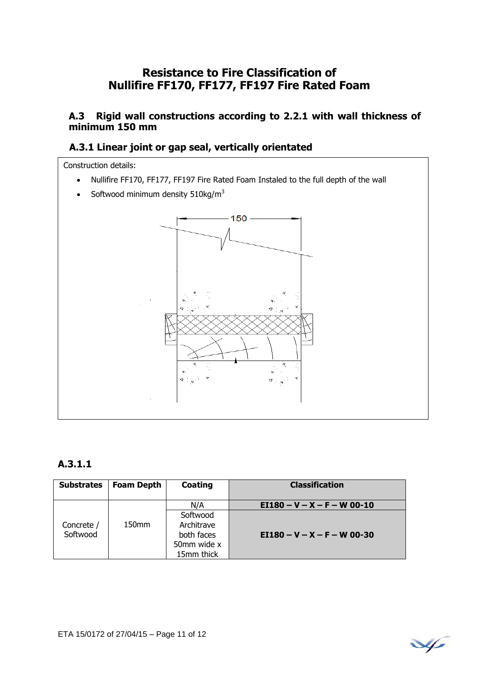# **Resistance to Fire Classification of Nullifire FF170, FF177, FF197 Fire Rated Foam**

#### **A.3 Rigid wall constructions according to 2.2.1 with wall thickness of minimum 150 mm**

### **A.3.1 Linear joint or gap seal, vertically orientated**

Construction details:

- Nullifire FF170, FF177, FF197 Fire Rated Foam Instaled to the full depth of the wall
- Softwood minimum density  $510\text{kg/m}^3$



#### **A.3.1.1**

| <b>Substrates</b>      | <b>Foam Depth</b> | Coating                                 | <b>Classification</b>         |
|------------------------|-------------------|-----------------------------------------|-------------------------------|
|                        |                   | N/A                                     | $E1180 - V - X - F - W 00-10$ |
| Concrete /<br>Softwood | 150 <sub>mm</sub> | Softwood<br>Architrave                  |                               |
|                        |                   | both faces<br>50mm wide x<br>15mm thick | $E1180 - V - X - F - W 00-30$ |

$$
\mathcal{A}_{\ell}
$$